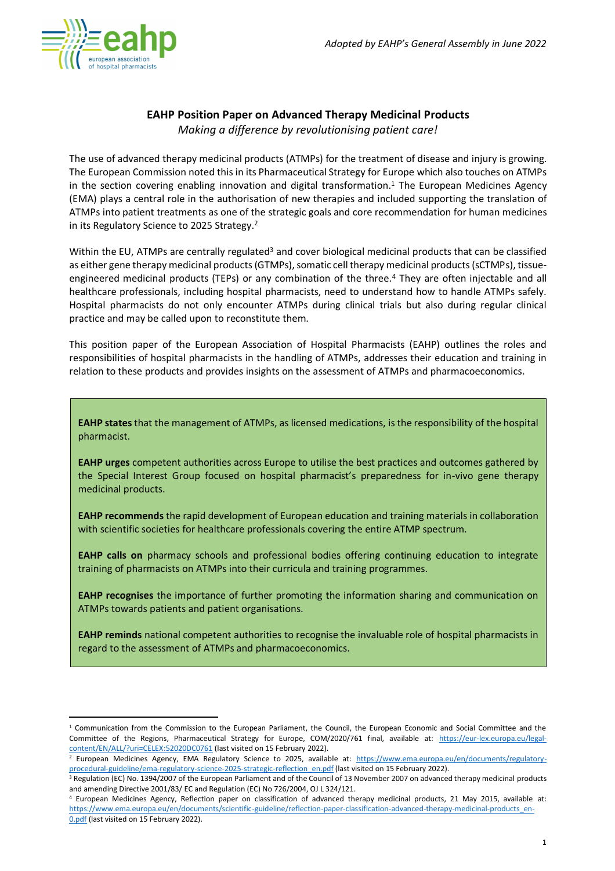

## **EAHP Position Paper on Advanced Therapy Medicinal Products**

*Making a difference by revolutionising patient care!*

The use of advanced therapy medicinal products (ATMPs) for the treatment of disease and injury is growing. The European Commission noted this in its Pharmaceutical Strategy for Europe which also touches on ATMPs in the section covering enabling innovation and digital transformation. <sup>1</sup> The European Medicines Agency (EMA) plays a central role in the authorisation of new therapies and included supporting the translation of ATMPs into patient treatments as one of the strategic goals and core recommendation for human medicines in its Regulatory Science to 2025 Strategy.<sup>2</sup>

Within the EU, ATMPs are centrally regulated<sup>3</sup> and cover biological medicinal products that can be classified as either gene therapy medicinal products (GTMPs), somatic cell therapy medicinal products (sCTMPs), tissueengineered medicinal products (TEPs) or any combination of the three.<sup>4</sup> They are often injectable and all healthcare professionals, including hospital pharmacists, need to understand how to handle ATMPs safely. Hospital pharmacists do not only encounter ATMPs during clinical trials but also during regular clinical practice and may be called upon to reconstitute them.

This position paper of the European Association of Hospital Pharmacists (EAHP) outlines the roles and responsibilities of hospital pharmacists in the handling of ATMPs, addresses their education and training in relation to these products and provides insights on the assessment of ATMPs and pharmacoeconomics.

**EAHP states**that the management of ATMPs, as licensed medications, is the responsibility of the hospital pharmacist.

**EAHP urges** competent authorities across Europe to utilise the best practices and outcomes gathered by the Special Interest Group focused on hospital pharmacist's preparedness for in-vivo gene therapy medicinal products.

**EAHP recommends** the rapid development of European education and training materials in collaboration with scientific societies for healthcare professionals covering the entire ATMP spectrum.

**EAHP calls on** pharmacy schools and professional bodies offering continuing education to integrate training of pharmacists on ATMPs into their curricula and training programmes.

**EAHP recognises** the importance of further promoting the information sharing and communication on ATMPs towards patients and patient organisations.

**EAHP reminds** national competent authorities to recognise the invaluable role of hospital pharmacists in regard to the assessment of ATMPs and pharmacoeconomics.

 $1$  Communication from the Commission to the European Parliament, the Council, the European Economic and Social Committee and the Committee of the Regions, Pharmaceutical Strategy for Europe, COM/2020/761 final, available at: [https://eur-lex.europa.eu/legal](https://eur-lex.europa.eu/legal-content/EN/ALL/?uri=CELEX:52020DC0761)[content/EN/ALL/?uri=CELEX:52020DC0761](https://eur-lex.europa.eu/legal-content/EN/ALL/?uri=CELEX:52020DC0761) (last visited on 15 February 2022).

European Medicines Agency, EMA Regulatory Science to 2025, available at: [https://www.ema.europa.eu/en/documents/regulatory](https://www.ema.europa.eu/en/documents/regulatory-procedural-guideline/ema-regulatory-science-2025-strategic-reflection_en.pdf)[procedural-guideline/ema-regulatory-science-2025-strategic-reflection\\_en.pdf](https://www.ema.europa.eu/en/documents/regulatory-procedural-guideline/ema-regulatory-science-2025-strategic-reflection_en.pdf) (last visited on 15 February 2022).

<sup>&</sup>lt;sup>3</sup> Regulation (EC) No. 1394/2007 of the European Parliament and of the Council of 13 November 2007 on advanced therapy medicinal products and amending Directive 2001/83/ EC and Regulation (EC) No 726/2004, OJ L 324/121.

<sup>4</sup> European Medicines Agency, Reflection paper on classification of advanced therapy medicinal products, 21 May 2015, available at: [https://www.ema.europa.eu/en/documents/scientific-guideline/reflection-paper-classification-advanced-therapy-medicinal-products\\_en-](https://www.ema.europa.eu/en/documents/scientific-guideline/reflection-paper-classification-advanced-therapy-medicinal-products_en-0.pdf)[0.pdf](https://www.ema.europa.eu/en/documents/scientific-guideline/reflection-paper-classification-advanced-therapy-medicinal-products_en-0.pdf) (last visited on 15 February 2022).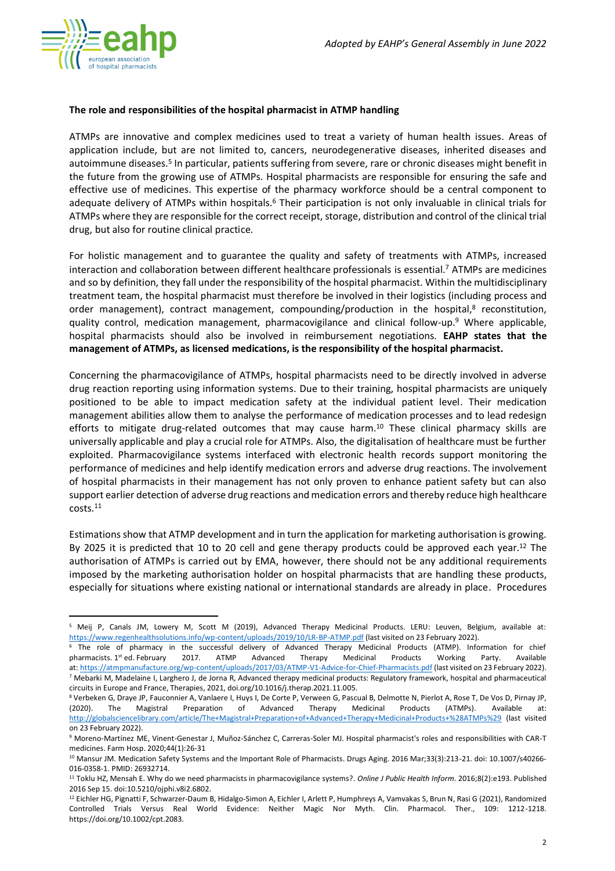

## **The role and responsibilities of the hospital pharmacist in ATMP handling**

ATMPs are innovative and complex medicines used to treat a variety of human health issues. Areas of application include, but are not limited to, cancers, neurodegenerative diseases, inherited diseases and autoimmune diseases.<sup>5</sup> In particular, patients suffering from severe, rare or chronic diseases might benefit in the future from the growing use of ATMPs. Hospital pharmacists are responsible for ensuring the safe and effective use of medicines. This expertise of the pharmacy workforce should be a central component to adequate delivery of ATMPs within hospitals.<sup>6</sup> Their participation is not only invaluable in clinical trials for ATMPs where they are responsible for the correct receipt, storage, distribution and control of the clinical trial drug, but also for routine clinical practice.

For holistic management and to guarantee the quality and safety of treatments with ATMPs, increased interaction and collaboration between different healthcare professionals is essential.<sup>7</sup> ATMPs are medicines and so by definition, they fall under the responsibility of the hospital pharmacist. Within the multidisciplinary treatment team, the hospital pharmacist must therefore be involved in their logistics (including process and order management), contract management, compounding/production in the hospital,<sup>8</sup> reconstitution, quality control, medication management, pharmacovigilance and clinical follow-up. <sup>9</sup> Where applicable, hospital pharmacists should also be involved in reimbursement negotiations. **EAHP states that the management of ATMPs, as licensed medications, is the responsibility of the hospital pharmacist.**

Concerning the pharmacovigilance of ATMPs, hospital pharmacists need to be directly involved in adverse drug reaction reporting using information systems. Due to their training, hospital pharmacists are uniquely positioned to be able to impact medication safety at the individual patient level. Their medication management abilities allow them to analyse the performance of medication processes and to lead redesign efforts to mitigate drug-related outcomes that may cause harm.<sup>10</sup> These clinical pharmacy skills are universally applicable and play a crucial role for ATMPs. Also, the digitalisation of healthcare must be further exploited. Pharmacovigilance systems interfaced with electronic health records support monitoring the performance of medicines and help identify medication errors and adverse drug reactions. The involvement of hospital pharmacists in their management has not only proven to enhance patient safety but can also support earlier detection of adverse drug reactions and medication errors and thereby reduce high healthcare costs. 11

Estimations show that ATMP development and in turn the application for marketing authorisation is growing. By 2025 it is predicted that 10 to 20 cell and gene therapy products could be approved each year.<sup>12</sup> The authorisation of ATMPs is carried out by EMA, however, there should not be any additional requirements imposed by the marketing authorisation holder on hospital pharmacists that are handling these products, especially for situations where existing national or international standards are already in place. Procedures

<sup>5</sup> Meij P, Canals JM, Lowery M, Scott M (2019), Advanced Therapy Medicinal Products. LERU: Leuven, Belgium, available at: <https://www.regenhealthsolutions.info/wp-content/uploads/2019/10/LR-BP-ATMP.pdf> (last visited on 23 February 2022).

<sup>6</sup> The role of pharmacy in the successful delivery of Advanced Therapy Medicinal Products (ATMP). Information for chief pharmacists. 1<sup>st</sup> ed. February 2017. ATMP Advanced Therapy Medicinal Products Working Party. Available at: <https://atmpmanufacture.org/wp-content/uploads/2017/03/ATMP-V1-Advice-for-Chief-Pharmacists.pdf> (last visited on 23 February 2022). <sup>7</sup> Mebarki M, Madelaine I, Larghero J, de Jorna R, Advanced therapy medicinal products: Regulatory framework, hospital and pharmaceutical circuits in Europe and France, Therapies, 2021, doi.org/10.1016/j.therap.2021.11.005.

<sup>8</sup> Verbeken G, Draye JP, Fauconnier A, Vanlaere I, Huys I, De Corte P, Verween G, Pascual B, Delmotte N, Pierlot A, Rose T, De Vos D, Pirnay JP, (2020). The Magistral Preparation of Advanced Therapy Medicinal Products (ATMPs). Available at: <http://globalsciencelibrary.com/article/The+Magistral+Preparation+of+Advanced+Therapy+Medicinal+Products+%28ATMPs%29> (last visited on 23 February 2022).

<sup>9</sup> Moreno-Martínez ME, Vinent-Genestar J, Muñoz-Sánchez C, Carreras-Soler MJ. Hospital pharmacist's roles and responsibilities with CAR-T medicines. Farm Hosp. 2020;44(1):26-31

<sup>&</sup>lt;sup>10</sup> Mansur JM. Medication Safety Systems and the Important Role of Pharmacists. Drugs Aging. 2016 Mar;33(3):213-21. doi: 10.1007/s40266-016-0358-1. PMID: 26932714.

<sup>11</sup> Toklu HZ, Mensah E. Why do we need pharmacists in pharmacovigilance systems?. *Online J Public Health Inform*. 2016;8(2):e193. Published 2016 Sep 15. doi:10.5210/ojphi.v8i2.6802.

<sup>&</sup>lt;sup>12</sup> Eichler HG, Pignatti F, Schwarzer-Daum B, Hidalgo-Simon A, Eichler I, Arlett P, Humphreys A, Vamvakas S, Brun N, Rasi G (2021), Randomized Controlled Trials Versus Real World Evidence: Neither Magic Nor Myth. Clin. Pharmacol. Ther., 109: 1212-1218. https://doi.org/10.1002/cpt.2083.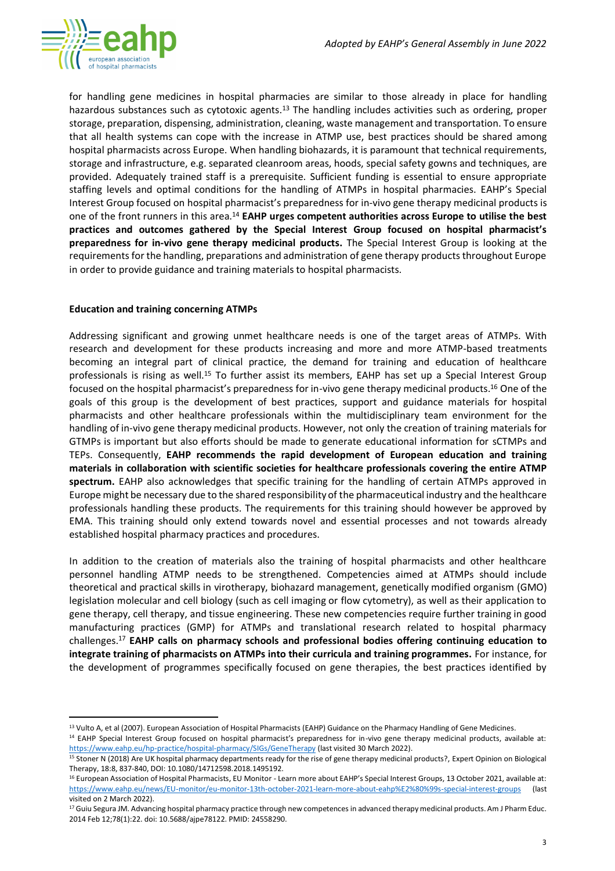

for handling gene medicines in hospital pharmacies are similar to those already in place for handling hazardous substances such as cytotoxic agents.<sup>13</sup> The handling includes activities such as ordering, proper storage, preparation, dispensing, administration, cleaning, waste management and transportation. To ensure that all health systems can cope with the increase in ATMP use, best practices should be shared among hospital pharmacists across Europe. When handling biohazards, it is paramount that technical requirements, storage and infrastructure, e.g. separated cleanroom areas, hoods, special safety gowns and techniques, are provided. Adequately trained staff is a prerequisite. Sufficient funding is essential to ensure appropriate staffing levels and optimal conditions for the handling of ATMPs in hospital pharmacies. EAHP's Special Interest Group focused on hospital pharmacist's preparedness for in-vivo gene therapy medicinal products is one of the front runners in this area.<sup>14</sup> **EAHP urges competent authorities across Europe to utilise the best practices and outcomes gathered by the Special Interest Group focused on hospital pharmacist's preparedness for in-vivo gene therapy medicinal products.** The Special Interest Group is looking at the requirements for the handling, preparations and administration of gene therapy products throughout Europe in order to provide guidance and training materials to hospital pharmacists.

## **Education and training concerning ATMPs**

Addressing significant and growing unmet healthcare needs is one of the target areas of ATMPs. With research and development for these products increasing and more and more ATMP-based treatments becoming an integral part of clinical practice, the demand for training and education of healthcare professionals is rising as well.<sup>15</sup> To further assist its members, EAHP has set up a Special Interest Group focused on the hospital pharmacist's preparedness for in-vivo gene therapy medicinal products. <sup>16</sup> One of the goals of this group is the development of best practices, support and guidance materials for hospital pharmacists and other healthcare professionals within the multidisciplinary team environment for the handling of in-vivo gene therapy medicinal products. However, not only the creation of training materials for GTMPs is important but also efforts should be made to generate educational information for sCTMPs and TEPs. Consequently, **EAHP recommends the rapid development of European education and training materials in collaboration with scientific societies for healthcare professionals covering the entire ATMP spectrum.** EAHP also acknowledges that specific training for the handling of certain ATMPs approved in Europe might be necessary due to the shared responsibility of the pharmaceutical industry and the healthcare professionals handling these products. The requirements for this training should however be approved by EMA. This training should only extend towards novel and essential processes and not towards already established hospital pharmacy practices and procedures.

In addition to the creation of materials also the training of hospital pharmacists and other healthcare personnel handling ATMP needs to be strengthened. Competencies aimed at ATMPs should include theoretical and practical skills in virotherapy, biohazard management, genetically modified organism (GMO) legislation molecular and cell biology (such as cell imaging or flow cytometry), as well as their application to gene therapy, cell therapy, and tissue engineering. These new competencies require further training in good manufacturing practices (GMP) for ATMPs and translational research related to hospital pharmacy challenges.<sup>17</sup> **EAHP calls on pharmacy schools and professional bodies offering continuing education to integrate training of pharmacists on ATMPs into their curricula and training programmes.** For instance, for the development of programmes specifically focused on gene therapies, the best practices identified by

<sup>14</sup> EAHP Special Interest Group focused on hospital pharmacist's preparedness for in-vivo gene therapy medicinal products, available at: <https://www.eahp.eu/hp-practice/hospital-pharmacy/SIGs/GeneTherapy> (last visited 30 March 2022).

<sup>&</sup>lt;sup>13</sup> Vulto A, et al (2007). European Association of Hospital Pharmacists (EAHP) Guidance on the Pharmacy Handling of Gene Medicines.

<sup>15</sup> Stoner N (2018) Are UK hospital pharmacy departments ready for the rise of gene therapy medicinal products?, Expert Opinion on Biological Therapy, 18:8, 837-840, DOI: 10.1080/14712598.2018.1495192.

<sup>&</sup>lt;sup>16</sup> European Association of Hospital Pharmacists, EU Monitor - Learn more about EAHP's Special Interest Groups, 13 October 2021, available at: <https://www.eahp.eu/news/EU-monitor/eu-monitor-13th-october-2021-learn-more-about-eahp%E2%80%99s-special-interest-groups> (last visited on 2 March 2022).

<sup>17</sup> Guiu Segura JM. Advancing hospital pharmacy practice through new competences in advanced therapy medicinal products. Am J Pharm Educ. 2014 Feb 12;78(1):22. doi: 10.5688/ajpe78122. PMID: 24558290.